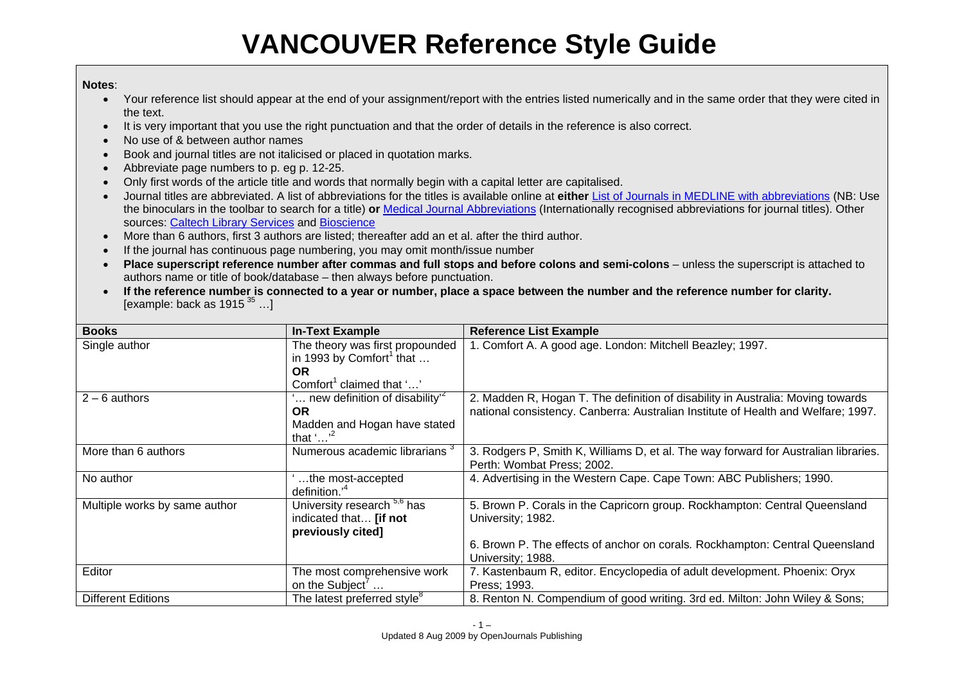# **VANCOUVER Reference Style Guide**

### **Notes**:

- Your reference list should appear at the end of your assignment/report with the entries listed numerically and in the same order that they were cited in the text.
- It is very important that you use the right punctuation and that the order of details in the reference is also correct.
- No use of & between author names
- Book and journal titles are not italicised or placed in quotation marks.
- Abbreviate page numbers to p. eg p. 12-25.
- Only first words of the article title and words that normally begin with a capital letter are capitalised.
- Journal titles are abbreviated. A list of abbreviations for the titles is available online at **either** List of Journals in MEDLINE with abbreviations (NB: Use the binoculars in the toolbar to search for a title) **or** Medical Journal Abbreviations (Internationally recognised abbreviations for journal titles). Other sources: Caltech Library Services and Bioscience
- More than 6 authors, first 3 authors are listed; thereafter add an et al. after the third author.
- If the journal has continuous page numbering, you may omit month/issue number
- **Place superscript reference number after commas and full stops and before colons and semi-colons** unless the superscript is attached to authors name or title of book/database – then always before punctuation.
- $\bullet$  **If the reference number is connected to a year or number, place a space between the number and the reference number for clarity.**  [example: back as  $1915^{35}$  ...]

| <b>Books</b>                  | <b>In-Text Example</b>                    | <b>Reference List Example</b>                                                       |
|-------------------------------|-------------------------------------------|-------------------------------------------------------------------------------------|
| Single author                 | The theory was first propounded           | 1. Comfort A. A good age. London: Mitchell Beazley; 1997.                           |
|                               | in 1993 by Comfort <sup>1</sup> that      |                                                                                     |
|                               | <b>OR</b>                                 |                                                                                     |
|                               | Comfort <sup>1</sup> claimed that ''      |                                                                                     |
| $2 - 6$ authors               | new definition of disability <sup>2</sup> | 2. Madden R, Hogan T. The definition of disability in Australia: Moving towards     |
|                               | <b>OR</b>                                 | national consistency. Canberra: Australian Institute of Health and Welfare; 1997.   |
|                               | Madden and Hogan have stated              |                                                                                     |
|                               | that '' <sup>2</sup>                      |                                                                                     |
| More than 6 authors           | Numerous academic librarians <sup>3</sup> | 3. Rodgers P, Smith K, Williams D, et al. The way forward for Australian libraries. |
|                               |                                           | Perth: Wombat Press; 2002.                                                          |
| No author                     | the most-accepted                         | 4. Advertising in the Western Cape. Cape Town: ABC Publishers; 1990.                |
|                               | definition. <sup>4</sup>                  |                                                                                     |
| Multiple works by same author | University research 5,6 has               | 5. Brown P. Corals in the Capricorn group. Rockhampton: Central Queensland          |
|                               | indicated that <b>[if not</b>             | University; 1982.                                                                   |
|                               | previously cited]                         |                                                                                     |
|                               |                                           | 6. Brown P. The effects of anchor on corals. Rockhampton: Central Queensland        |
|                               |                                           | University; 1988.                                                                   |
| Editor                        | The most comprehensive work               | 7. Kastenbaum R, editor. Encyclopedia of adult development. Phoenix: Oryx           |
|                               | on the Subject'                           | Press; 1993.                                                                        |
| <b>Different Editions</b>     | The latest preferred style <sup>8</sup>   | 8. Renton N. Compendium of good writing. 3rd ed. Milton: John Wiley & Sons;         |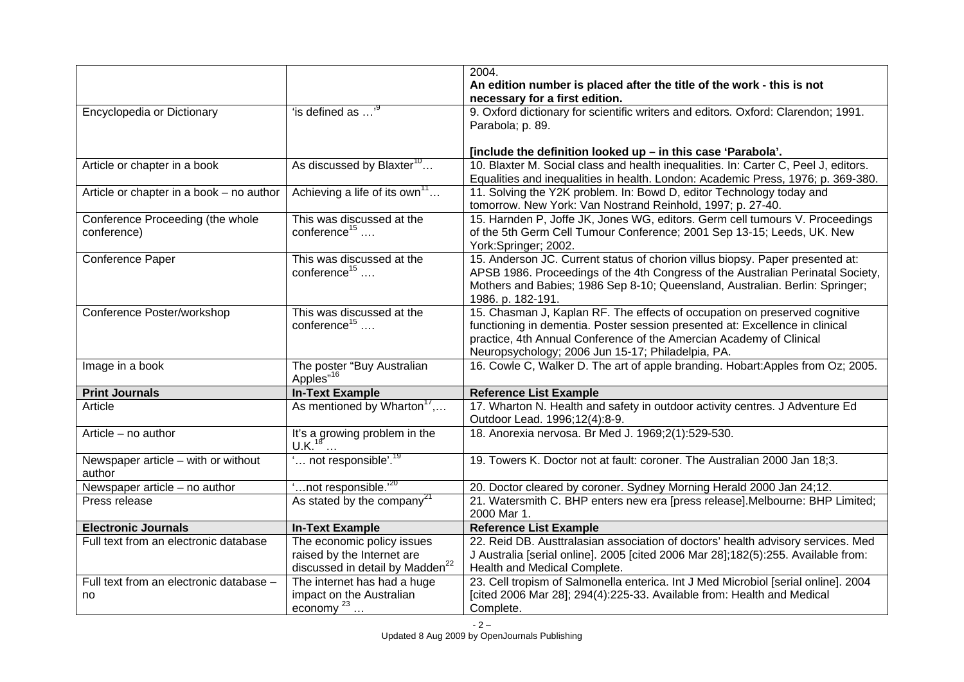|                                          |                                                                            | 2004.                                                                                                              |
|------------------------------------------|----------------------------------------------------------------------------|--------------------------------------------------------------------------------------------------------------------|
|                                          |                                                                            | An edition number is placed after the title of the work - this is not                                              |
|                                          |                                                                            | necessary for a first edition.                                                                                     |
| Encyclopedia or Dictionary               | "is defined as ' <sup>9</sup>                                              | 9. Oxford dictionary for scientific writers and editors. Oxford: Clarendon; 1991.                                  |
|                                          |                                                                            | Parabola; p. 89.                                                                                                   |
|                                          |                                                                            |                                                                                                                    |
|                                          |                                                                            | [include the definition looked up - in this case 'Parabola'.                                                       |
| Article or chapter in a book             | As discussed by Blaxter <sup>10</sup>                                      | 10. Blaxter M. Social class and health inequalities. In: Carter C, Peel J, editors.                                |
|                                          |                                                                            | Equalities and inequalities in health. London: Academic Press, 1976; p. 369-380.                                   |
| Article or chapter in a book - no author | Achieving a life of its own <sup>11</sup>                                  | 11. Solving the Y2K problem. In: Bowd D, editor Technology today and                                               |
|                                          |                                                                            | tomorrow. New York: Van Nostrand Reinhold, 1997; p. 27-40.                                                         |
| Conference Proceeding (the whole         | This was discussed at the                                                  | 15. Harnden P, Joffe JK, Jones WG, editors. Germ cell tumours V. Proceedings                                       |
| conference)                              | conference <sup>15</sup>                                                   | of the 5th Germ Cell Tumour Conference; 2001 Sep 13-15; Leeds, UK. New                                             |
|                                          |                                                                            | York:Springer; 2002.                                                                                               |
| Conference Paper                         | This was discussed at the                                                  | 15. Anderson JC. Current status of chorion villus biopsy. Paper presented at:                                      |
|                                          | conference <sup>15</sup>                                                   | APSB 1986. Proceedings of the 4th Congress of the Australian Perinatal Society,                                    |
|                                          |                                                                            | Mothers and Babies; 1986 Sep 8-10; Queensland, Australian. Berlin: Springer;                                       |
|                                          |                                                                            | 1986. p. 182-191.                                                                                                  |
| Conference Poster/workshop               | This was discussed at the<br>conference <sup>15</sup>                      | 15. Chasman J, Kaplan RF. The effects of occupation on preserved cognitive                                         |
|                                          |                                                                            | functioning in dementia. Poster session presented at: Excellence in clinical                                       |
|                                          |                                                                            | practice, 4th Annual Conference of the Amercian Academy of Clinical                                                |
|                                          |                                                                            | Neuropsychology; 2006 Jun 15-17; Philadelpia, PA.                                                                  |
| Image in a book                          | The poster "Buy Australian<br>Apples" <sup>16</sup>                        | 16. Cowle C, Walker D. The art of apple branding. Hobart: Apples from Oz; 2005.                                    |
| <b>Print Journals</b>                    | <b>In-Text Example</b>                                                     | <b>Reference List Example</b>                                                                                      |
| Article                                  | As mentioned by Wharton <sup>17</sup> ,                                    | 17. Wharton N. Health and safety in outdoor activity centres. J Adventure Ed                                       |
|                                          |                                                                            | Outdoor Lead. 1996;12(4):8-9.                                                                                      |
| Article - no author                      | It's a growing problem in the U.K. <sup>18</sup>                           | 18. Anorexia nervosa. Br Med J. 1969;2(1):529-530.                                                                 |
|                                          |                                                                            |                                                                                                                    |
| Newspaper article - with or without      | " not responsible". <sup>19</sup>                                          | 19. Towers K. Doctor not at fault: coroner. The Australian 2000 Jan 18;3.                                          |
| author                                   |                                                                            |                                                                                                                    |
| Newspaper article - no author            | " not responsible. <sup>'20</sup>                                          | 20. Doctor cleared by coroner. Sydney Morning Herald 2000 Jan 24;12.                                               |
| Press release                            | As stated by the company <sup>21</sup>                                     | 21. Watersmith C. BHP enters new era [press release]. Melbourne: BHP Limited;                                      |
|                                          |                                                                            | 2000 Mar 1.                                                                                                        |
| <b>Electronic Journals</b>               | <b>In-Text Example</b>                                                     | <b>Reference List Example</b>                                                                                      |
| Full text from an electronic database    | The economic policy issues                                                 | 22. Reid DB. Austtralasian association of doctors' health advisory services. Med                                   |
|                                          | raised by the Internet are                                                 | J Australia [serial online]. 2005 [cited 2006 Mar 28];182(5):255. Available from:                                  |
| Full text from an electronic database -  | discussed in detail by Madden <sup>22</sup><br>The internet has had a huge | Health and Medical Complete.<br>23. Cell tropism of Salmonella enterica. Int J Med Microbiol [serial online]. 2004 |
|                                          | impact on the Australian                                                   | [cited 2006 Mar 28]; 294(4):225-33. Available from: Health and Medical                                             |
| no                                       | economy $^{23}$                                                            | Complete.                                                                                                          |
|                                          |                                                                            |                                                                                                                    |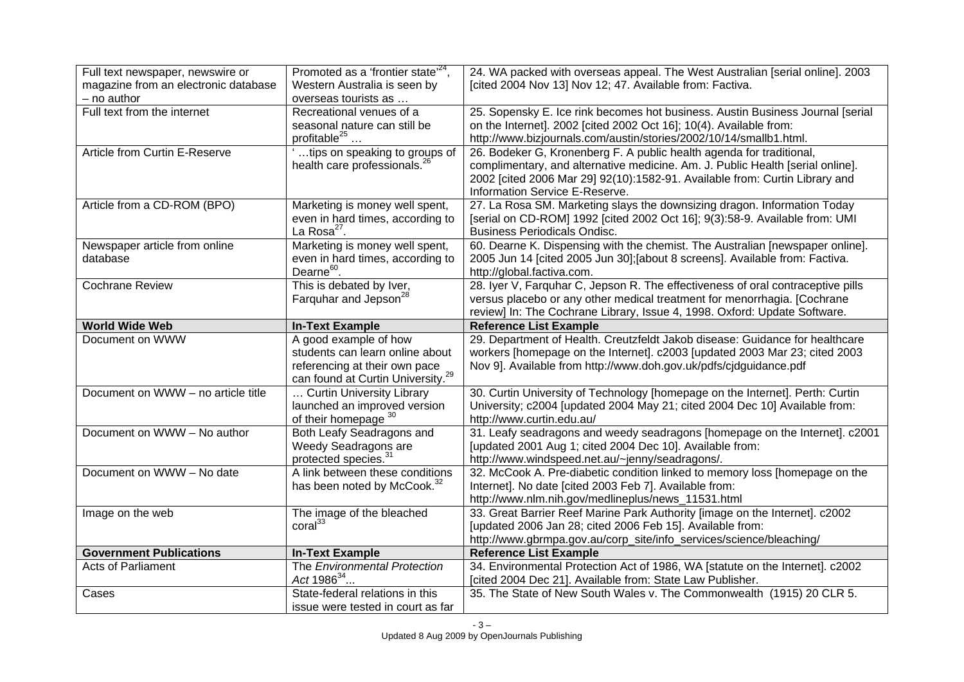| Full text newspaper, newswire or          | Promoted as a 'frontier state' <sup>24</sup> ,                             | 24. WA packed with overseas appeal. The West Australian [serial online]. 2003                              |
|-------------------------------------------|----------------------------------------------------------------------------|------------------------------------------------------------------------------------------------------------|
| magazine from an electronic database      | Western Australia is seen by                                               | [cited 2004 Nov 13] Nov 12; 47. Available from: Factiva.                                                   |
| - no author                               | overseas tourists as                                                       |                                                                                                            |
| Full text from the internet               | Recreational venues of a                                                   | 25. Sopensky E. Ice rink becomes hot business. Austin Business Journal [serial                             |
|                                           | seasonal nature can still be                                               | on the Internet]. 2002 [cited 2002 Oct 16]; 10(4). Available from:                                         |
|                                           | profitable <sup>25</sup>                                                   | http://www.bizjournals.com/austin/stories/2002/10/14/smallb1.html.                                         |
| Article from Curtin E-Reserve             | tips on speaking to groups of                                              | 26. Bodeker G, Kronenberg F. A public health agenda for traditional,                                       |
|                                           | health care professionals. <sup>2</sup>                                    | complimentary, and alternative medicine. Am. J. Public Health [serial online].                             |
|                                           |                                                                            | 2002 [cited 2006 Mar 29] 92(10):1582-91. Available from: Curtin Library and                                |
|                                           |                                                                            | Information Service E-Reserve.                                                                             |
| Article from a CD-ROM (BPO)               | Marketing is money well spent,                                             | 27. La Rosa SM. Marketing slays the downsizing dragon. Information Today                                   |
|                                           | even in hard times, according to<br>La Rosa <sup>27</sup> .                | [serial on CD-ROM] 1992 [cited 2002 Oct 16]; 9(3):58-9. Available from: UMI                                |
|                                           |                                                                            | <b>Business Periodicals Ondisc.</b>                                                                        |
| Newspaper article from online<br>database | Marketing is money well spent,                                             | 60. Dearne K. Dispensing with the chemist. The Australian [newspaper online].                              |
|                                           | even in hard times, according to<br>Dearne <sup>60</sup> .                 | 2005 Jun 14 [cited 2005 Jun 30]; [about 8 screens]. Available from: Factiva.<br>http://global.factiva.com. |
| <b>Cochrane Review</b>                    | This is debated by Iver,                                                   | 28. Iyer V, Farquhar C, Jepson R. The effectiveness of oral contraceptive pills                            |
|                                           | Farquhar and Jepson <sup>28</sup>                                          | versus placebo or any other medical treatment for menorrhagia. [Cochrane                                   |
|                                           |                                                                            | review] In: The Cochrane Library, Issue 4, 1998. Oxford: Update Software.                                  |
| <b>World Wide Web</b>                     | <b>In-Text Example</b>                                                     | <b>Reference List Example</b>                                                                              |
| Document on WWW                           | A good example of how                                                      | 29. Department of Health. Creutzfeldt Jakob disease: Guidance for healthcare                               |
|                                           |                                                                            |                                                                                                            |
|                                           |                                                                            |                                                                                                            |
|                                           | students can learn online about                                            | workers [homepage on the Internet]. c2003 [updated 2003 Mar 23; cited 2003                                 |
|                                           | referencing at their own pace                                              | Nov 9]. Available from http://www.doh.gov.uk/pdfs/cjdguidance.pdf                                          |
| Document on WWW - no article title        | can found at Curtin University. <sup>29</sup><br>Curtin University Library | 30. Curtin University of Technology [homepage on the Internet]. Perth: Curtin                              |
|                                           | launched an improved version                                               | University; c2004 [updated 2004 May 21; cited 2004 Dec 10] Available from:                                 |
|                                           | of their homepage 30                                                       | http://www.curtin.edu.au/                                                                                  |
| Document on WWW - No author               | Both Leafy Seadragons and                                                  | 31. Leafy seadragons and weedy seadragons [homepage on the Internet]. c2001                                |
|                                           | Weedy Seadragons are                                                       | [updated 2001 Aug 1; cited 2004 Dec 10]. Available from:                                                   |
|                                           | protected species. <sup>31</sup>                                           | http://www.windspeed.net.au/~jenny/seadragons/.                                                            |
| Document on WWW - No date                 | A link between these conditions                                            | 32. McCook A. Pre-diabetic condition linked to memory loss [homepage on the                                |
|                                           | has been noted by McCook. <sup>3</sup>                                     | Internet]. No date [cited 2003 Feb 7]. Available from:                                                     |
|                                           |                                                                            | http://www.nlm.nih.gov/medlineplus/news_11531.html                                                         |
| Image on the web                          | The image of the bleached                                                  | 33. Great Barrier Reef Marine Park Authority [image on the Internet]. c2002                                |
|                                           | $\text{coral}^{33}$                                                        | [updated 2006 Jan 28; cited 2006 Feb 15]. Available from:                                                  |
|                                           |                                                                            | http://www.gbrmpa.gov.au/corp_site/info_services/science/bleaching/                                        |
| <b>Government Publications</b>            | <b>In-Text Example</b>                                                     | <b>Reference List Example</b>                                                                              |
| <b>Acts of Parliament</b>                 | The Environmental Protection                                               | 34. Environmental Protection Act of 1986, WA [statute on the Internet]. c2002                              |
|                                           | Act $1986^{34}$                                                            | [cited 2004 Dec 21]. Available from: State Law Publisher.                                                  |
| Cases                                     | State-federal relations in this<br>issue were tested in court as far       | 35. The State of New South Wales v. The Commonwealth (1915) 20 CLR 5.                                      |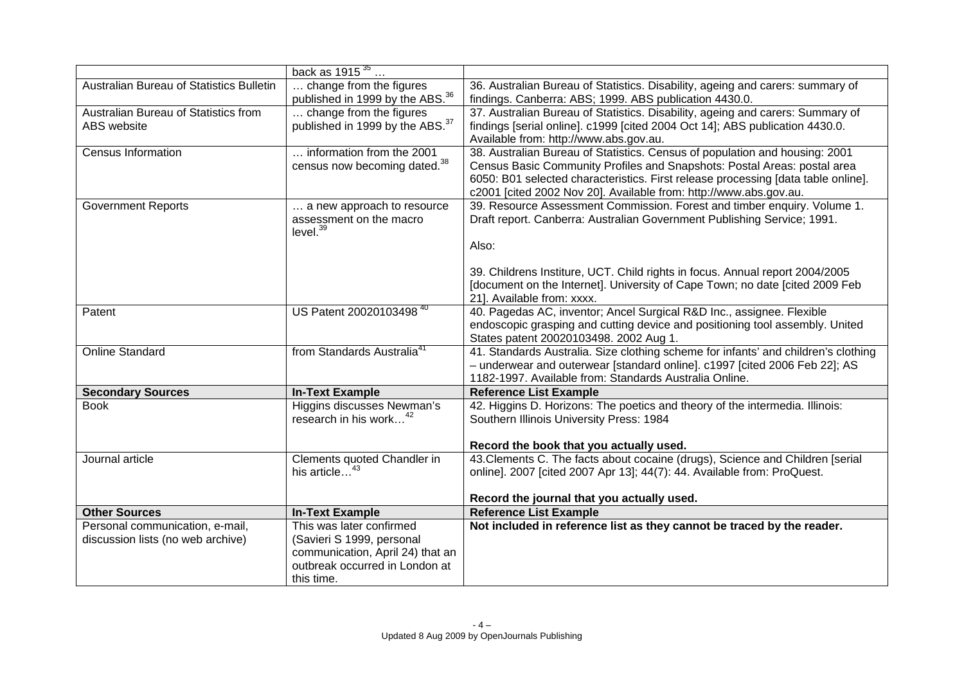|                                                                      | back as $1915^{35}$                                                                                                                       |                                                                                                                                                                                                                                                                                                                                                            |
|----------------------------------------------------------------------|-------------------------------------------------------------------------------------------------------------------------------------------|------------------------------------------------------------------------------------------------------------------------------------------------------------------------------------------------------------------------------------------------------------------------------------------------------------------------------------------------------------|
| Australian Bureau of Statistics Bulletin                             | change from the figures<br>published in 1999 by the ABS. <sup>36</sup>                                                                    | 36. Australian Bureau of Statistics. Disability, ageing and carers: summary of<br>findings. Canberra: ABS; 1999. ABS publication 4430.0.                                                                                                                                                                                                                   |
| Australian Bureau of Statistics from<br>ABS website                  | change from the figures<br>published in 1999 by the ABS. <sup>37</sup>                                                                    | 37. Australian Bureau of Statistics. Disability, ageing and carers: Summary of<br>findings [serial online]. c1999 [cited 2004 Oct 14]; ABS publication 4430.0.<br>Available from: http://www.abs.gov.au.                                                                                                                                                   |
| <b>Census Information</b>                                            | information from the 2001<br>census now becoming dated. <sup>38</sup>                                                                     | 38. Australian Bureau of Statistics. Census of population and housing: 2001<br>Census Basic Community Profiles and Snapshots: Postal Areas: postal area<br>6050: B01 selected characteristics. First release processing [data table online].<br>c2001 [cited 2002 Nov 20]. Available from: http://www.abs.gov.au.                                          |
| <b>Government Reports</b>                                            | a new approach to resource<br>assessment on the macro<br>level. <sup>39</sup>                                                             | 39. Resource Assessment Commission. Forest and timber enquiry. Volume 1.<br>Draft report. Canberra: Australian Government Publishing Service; 1991.<br>Also:<br>39. Childrens Institure, UCT. Child rights in focus. Annual report 2004/2005<br>[document on the Internet]. University of Cape Town; no date [cited 2009 Feb<br>21]. Available from: xxxx. |
| Patent                                                               | US Patent 20020103498 <sup>40</sup>                                                                                                       | 40. Pagedas AC, inventor; Ancel Surgical R&D Inc., assignee. Flexible<br>endoscopic grasping and cutting device and positioning tool assembly. United<br>States patent 20020103498. 2002 Aug 1.                                                                                                                                                            |
| <b>Online Standard</b>                                               | from Standards Australia <sup>41</sup>                                                                                                    | 41. Standards Australia. Size clothing scheme for infants' and children's clothing<br>- underwear and outerwear [standard online]. c1997 [cited 2006 Feb 22]; AS<br>1182-1997. Available from: Standards Australia Online.                                                                                                                                 |
| <b>Secondary Sources</b>                                             | <b>In-Text Example</b>                                                                                                                    | <b>Reference List Example</b>                                                                                                                                                                                                                                                                                                                              |
| <b>Book</b>                                                          | Higgins discusses Newman's<br>research in his work <sup>42</sup>                                                                          | 42. Higgins D. Horizons: The poetics and theory of the intermedia. Illinois:<br>Southern Illinois University Press: 1984<br>Record the book that you actually used.                                                                                                                                                                                        |
| Journal article                                                      | Clements quoted Chandler in<br>his article                                                                                                | 43. Clements C. The facts about cocaine (drugs), Science and Children [serial<br>online]. 2007 [cited 2007 Apr 13]; 44(7): 44. Available from: ProQuest.<br>Record the journal that you actually used.                                                                                                                                                     |
| <b>Other Sources</b>                                                 | <b>In-Text Example</b>                                                                                                                    | <b>Reference List Example</b>                                                                                                                                                                                                                                                                                                                              |
| Personal communication, e-mail,<br>discussion lists (no web archive) | This was later confirmed<br>(Savieri S 1999, personal<br>communication, April 24) that an<br>outbreak occurred in London at<br>this time. | Not included in reference list as they cannot be traced by the reader.                                                                                                                                                                                                                                                                                     |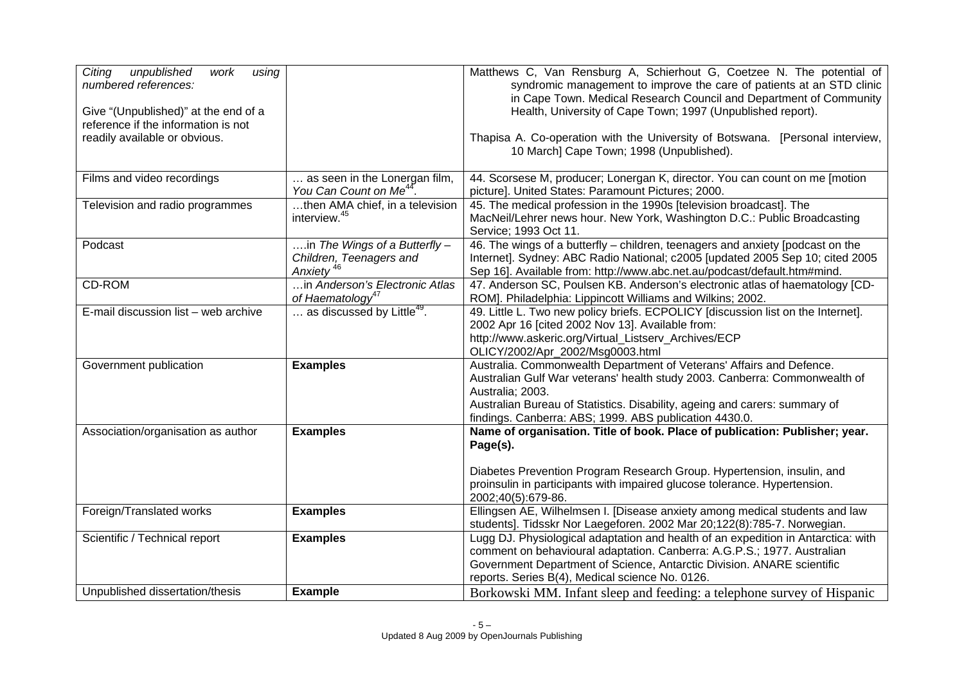| Citing<br>unpublished<br>work<br>using<br>numbered references:              |                                                                                   | Matthews C, Van Rensburg A, Schierhout G, Coetzee N. The potential of<br>syndromic management to improve the care of patients at an STD clinic<br>in Cape Town. Medical Research Council and Department of Community                                                                                           |
|-----------------------------------------------------------------------------|-----------------------------------------------------------------------------------|----------------------------------------------------------------------------------------------------------------------------------------------------------------------------------------------------------------------------------------------------------------------------------------------------------------|
| Give "(Unpublished)" at the end of a<br>reference if the information is not |                                                                                   | Health, University of Cape Town; 1997 (Unpublished report).                                                                                                                                                                                                                                                    |
| readily available or obvious.                                               |                                                                                   | Thapisa A. Co-operation with the University of Botswana. [Personal interview,<br>10 March] Cape Town; 1998 (Unpublished).                                                                                                                                                                                      |
| Films and video recordings                                                  | as seen in the Lonergan film,<br>You Can Count on Me <sup>44</sup>                | 44. Scorsese M, producer; Lonergan K, director. You can count on me [motion<br>picture]. United States: Paramount Pictures; 2000.                                                                                                                                                                              |
| Television and radio programmes                                             | then AMA chief, in a television<br>interview. <sup>45</sup>                       | 45. The medical profession in the 1990s [television broadcast]. The<br>MacNeil/Lehrer news hour. New York, Washington D.C.: Public Broadcasting<br>Service; 1993 Oct 11.                                                                                                                                       |
| Podcast                                                                     | in The Wings of a Butterfly -<br>Children, Teenagers and<br>Anxiety <sup>46</sup> | 46. The wings of a butterfly – children, teenagers and anxiety [podcast on the<br>Internet]. Sydney: ABC Radio National; c2005 [updated 2005 Sep 10; cited 2005<br>Sep 16]. Available from: http://www.abc.net.au/podcast/default.htm#mind.                                                                    |
| <b>CD-ROM</b>                                                               | in Anderson's Electronic Atlas<br>of Haematology <sup>47</sup>                    | 47. Anderson SC, Poulsen KB. Anderson's electronic atlas of haematology [CD-<br>ROM]. Philadelphia: Lippincott Williams and Wilkins; 2002.                                                                                                                                                                     |
| E-mail discussion list - web archive                                        | as discussed by Little <sup>49</sup> .                                            | 49. Little L. Two new policy briefs. ECPOLICY [discussion list on the Internet].<br>2002 Apr 16 [cited 2002 Nov 13]. Available from:<br>http://www.askeric.org/Virtual_Listserv_Archives/ECP<br>OLICY/2002/Apr_2002/Msg0003.html                                                                               |
| Government publication                                                      | <b>Examples</b>                                                                   | Australia. Commonwealth Department of Veterans' Affairs and Defence.<br>Australian Gulf War veterans' health study 2003. Canberra: Commonwealth of<br>Australia; 2003.<br>Australian Bureau of Statistics. Disability, ageing and carers: summary of<br>findings. Canberra: ABS; 1999. ABS publication 4430.0. |
| Association/organisation as author                                          | <b>Examples</b>                                                                   | Name of organisation. Title of book. Place of publication: Publisher; year.<br>Page(s).<br>Diabetes Prevention Program Research Group. Hypertension, insulin, and                                                                                                                                              |
|                                                                             |                                                                                   | proinsulin in participants with impaired glucose tolerance. Hypertension.<br>2002;40(5):679-86.                                                                                                                                                                                                                |
| Foreign/Translated works                                                    | <b>Examples</b>                                                                   | Ellingsen AE, Wilhelmsen I. [Disease anxiety among medical students and law<br>students]. Tidsskr Nor Laegeforen. 2002 Mar 20;122(8):785-7. Norwegian.                                                                                                                                                         |
| Scientific / Technical report                                               | <b>Examples</b>                                                                   | Lugg DJ. Physiological adaptation and health of an expedition in Antarctica: with<br>comment on behavioural adaptation. Canberra: A.G.P.S.; 1977. Australian<br>Government Department of Science, Antarctic Division. ANARE scientific<br>reports. Series B(4), Medical science No. 0126.                      |
| Unpublished dissertation/thesis                                             | <b>Example</b>                                                                    | Borkowski MM. Infant sleep and feeding: a telephone survey of Hispanic                                                                                                                                                                                                                                         |